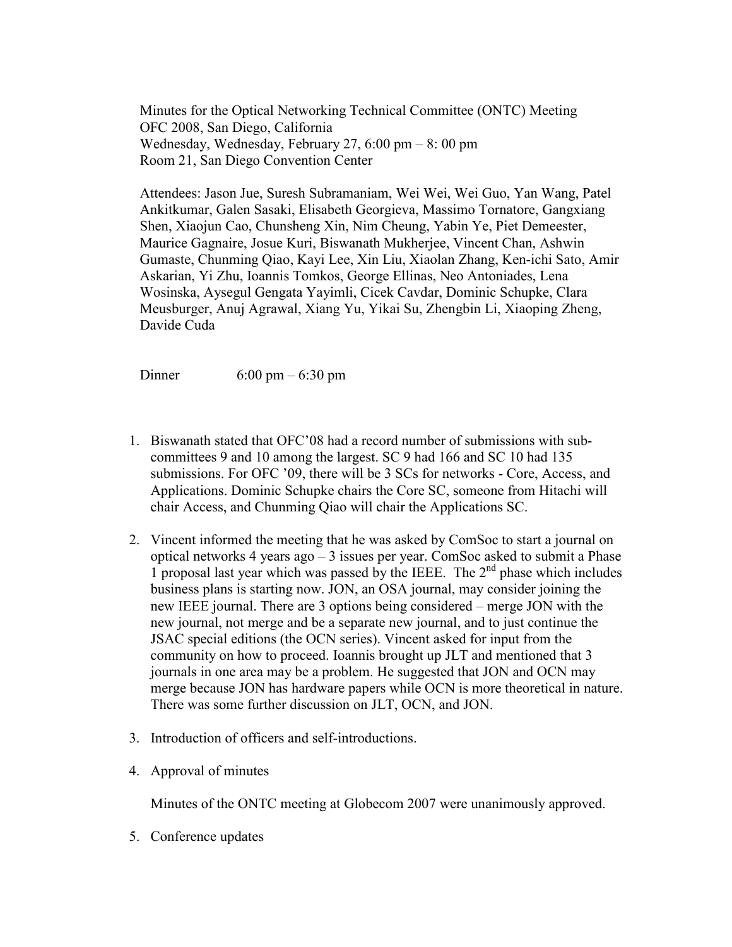Minutes for the Optical Networking Technical Committee (ONTC) Meeting OFC 2008, San Diego, California Wednesday, Wednesday, February 27, 6:00 pm – 8: 00 pm Room 21, San Diego Convention Center

Attendees: Jason Jue, Suresh Subramaniam, Wei Wei, Wei Guo, Yan Wang, Patel Ankitkumar, Galen Sasaki, Elisabeth Georgieva, Massimo Tornatore, Gangxiang Shen, Xiaojun Cao, Chunsheng Xin, Nim Cheung, Yabin Ye, Piet Demeester, Maurice Gagnaire, Josue Kuri, Biswanath Mukherjee, Vincent Chan, Ashwin Gumaste, Chunming Qiao, Kayi Lee, Xin Liu, Xiaolan Zhang, Ken-ichi Sato, Amir Askarian, Yi Zhu, Ioannis Tomkos, George Ellinas, Neo Antoniades, Lena Wosinska, Aysegul Gengata Yayimli, Cicek Cavdar, Dominic Schupke, Clara Meusburger, Anuj Agrawal, Xiang Yu, Yikai Su, Zhengbin Li, Xiaoping Zheng, Davide Cuda

Dinner 6:00 pm – 6:30 pm

- 1. Biswanath stated that OFC'08 had a record number of submissions with subcommittees 9 and 10 among the largest. SC 9 had 166 and SC 10 had 135 submissions. For OFC '09, there will be 3 SCs for networks - Core, Access, and Applications. Dominic Schupke chairs the Core SC, someone from Hitachi will chair Access, and Chunming Qiao will chair the Applications SC.
- 2. Vincent informed the meeting that he was asked by ComSoc to start a journal on optical networks 4 years ago – 3 issues per year. ComSoc asked to submit a Phase 1 proposal last year which was passed by the IEEE. The  $2<sup>nd</sup>$  phase which includes business plans is starting now. JON, an OSA journal, may consider joining the new IEEE journal. There are 3 options being considered – merge JON with the new journal, not merge and be a separate new journal, and to just continue the JSAC special editions (the OCN series). Vincent asked for input from the community on how to proceed. Ioannis brought up JLT and mentioned that 3 journals in one area may be a problem. He suggested that JON and OCN may merge because JON has hardware papers while OCN is more theoretical in nature. There was some further discussion on JLT, OCN, and JON.
- 3. Introduction of officers and self-introductions.
- 4. Approval of minutes

Minutes of the ONTC meeting at Globecom 2007 were unanimously approved.

5. Conference updates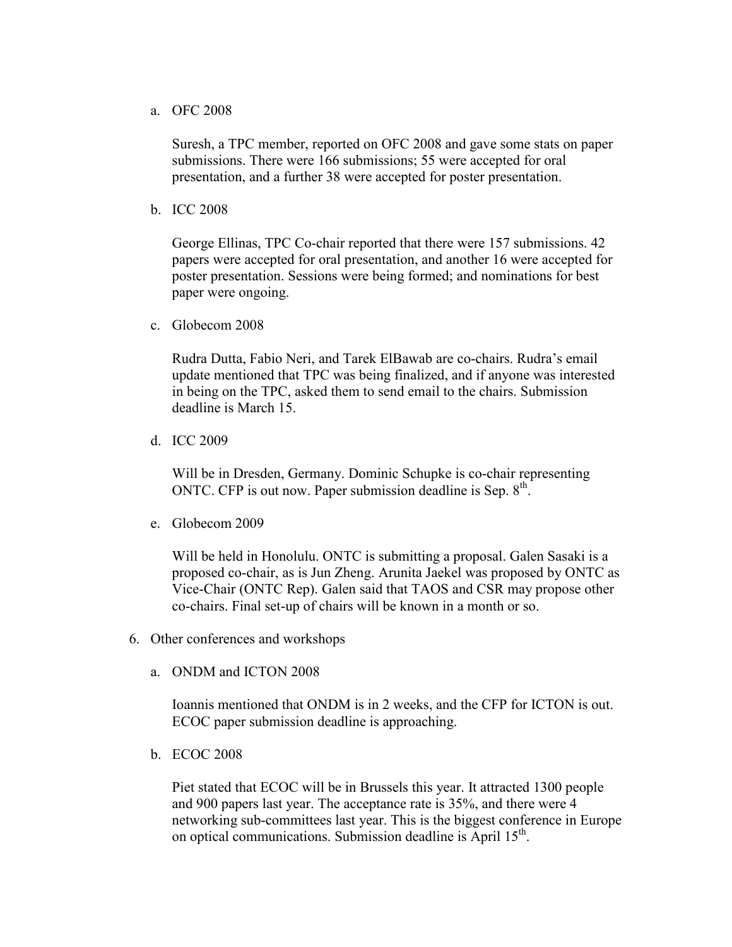## a. OFC 2008

Suresh, a TPC member, reported on OFC 2008 and gave some stats on paper submissions. There were 166 submissions; 55 were accepted for oral presentation, and a further 38 were accepted for poster presentation.

b. ICC 2008

George Ellinas, TPC Co-chair reported that there were 157 submissions. 42 papers were accepted for oral presentation, and another 16 were accepted for poster presentation. Sessions were being formed; and nominations for best paper were ongoing.

c. Globecom 2008

Rudra Dutta, Fabio Neri, and Tarek ElBawab are co-chairs. Rudra's email update mentioned that TPC was being finalized, and if anyone was interested in being on the TPC, asked them to send email to the chairs. Submission deadline is March 15.

d. ICC 2009

Will be in Dresden, Germany. Dominic Schupke is co-chair representing ONTC. CFP is out now. Paper submission deadline is Sep.  $8<sup>th</sup>$ .

e. Globecom 2009

Will be held in Honolulu. ONTC is submitting a proposal. Galen Sasaki is a proposed co-chair, as is Jun Zheng. Arunita Jaekel was proposed by ONTC as Vice-Chair (ONTC Rep). Galen said that TAOS and CSR may propose other co-chairs. Final set-up of chairs will be known in a month or so.

- 6. Other conferences and workshops
	- a. ONDM and ICTON 2008

Ioannis mentioned that ONDM is in 2 weeks, and the CFP for ICTON is out. ECOC paper submission deadline is approaching.

b. ECOC 2008

Piet stated that ECOC will be in Brussels this year. It attracted 1300 people and 900 papers last year. The acceptance rate is 35%, and there were 4 networking sub-committees last year. This is the biggest conference in Europe on optical communications. Submission deadline is April 15<sup>th</sup>.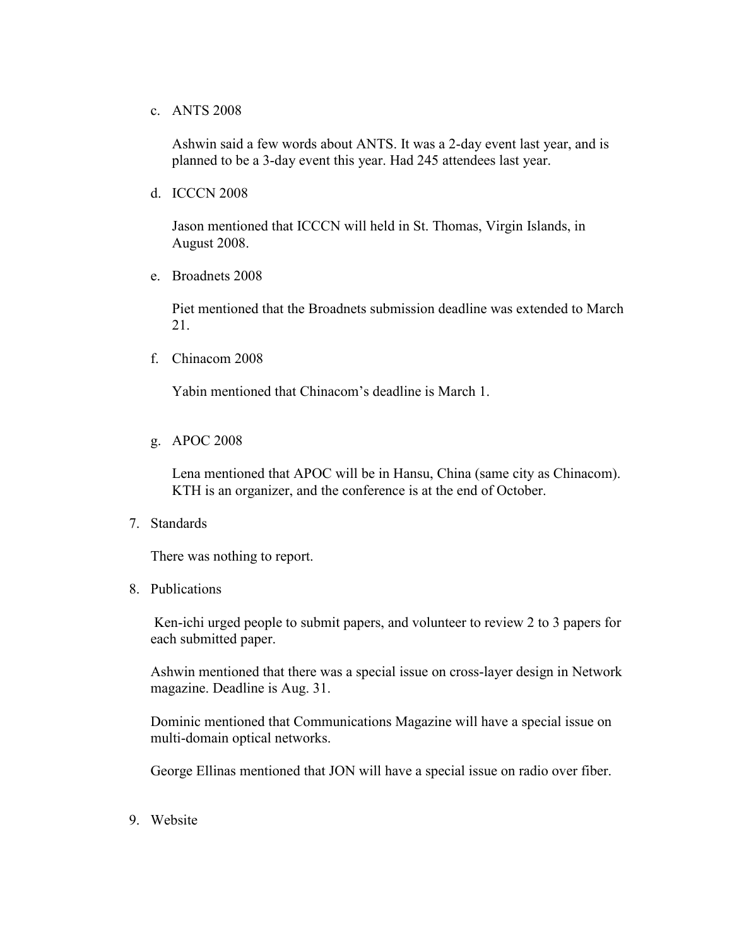## c. ANTS 2008

Ashwin said a few words about ANTS. It was a 2-day event last year, and is planned to be a 3-day event this year. Had 245 attendees last year.

d. ICCCN 2008

Jason mentioned that ICCCN will held in St. Thomas, Virgin Islands, in August 2008.

e. Broadnets 2008

Piet mentioned that the Broadnets submission deadline was extended to March 21.

f. Chinacom 2008

Yabin mentioned that Chinacom's deadline is March 1.

g. APOC 2008

Lena mentioned that APOC will be in Hansu, China (same city as Chinacom). KTH is an organizer, and the conference is at the end of October.

7. Standards

There was nothing to report.

8. Publications

Ken-ichi urged people to submit papers, and volunteer to review 2 to 3 papers for each submitted paper.

Ashwin mentioned that there was a special issue on cross-layer design in Network magazine. Deadline is Aug. 31.

Dominic mentioned that Communications Magazine will have a special issue on multi-domain optical networks.

George Ellinas mentioned that JON will have a special issue on radio over fiber.

9. Website